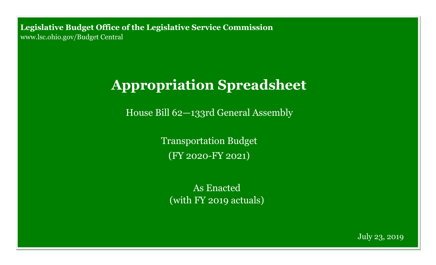**Legislative Budget Office of the Legislative Service Commission**  [www.lsc.ohio.gov/Budget Central](http://www.lsc.ohio.gov)

# **Appropriation Spreadsheet**

House Bill 62—133rd General Assembly

Transportation Budget (FY 2020-FY 2021)

As Enacted (with FY 2019 actuals)

July 23, 2019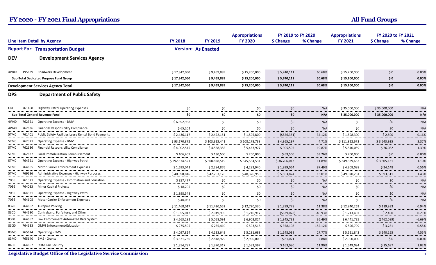|                                          |        |                                                            |                            |                                        | <b>Appropriations</b> | FY 2019 to FY 2020               |                                    | <b>Appropriations</b>                               | FY 2020 to FY 2021      |                    |
|------------------------------------------|--------|------------------------------------------------------------|----------------------------|----------------------------------------|-----------------------|----------------------------------|------------------------------------|-----------------------------------------------------|-------------------------|--------------------|
| <b>Line Item Detail by Agency</b>        |        | <b>FY 2018</b>                                             | <b>FY 2019</b>             | <b>FY 2020</b>                         | \$ Change             | % Change                         | <b>FY 2021</b>                     | \$ Change                                           | % Change                |                    |
| <b>Report For: Transportation Budget</b> |        |                                                            | <b>Version: As Enacted</b> |                                        |                       |                                  |                                    |                                                     |                         |                    |
| <b>DEV</b>                               |        | <b>Development Services Agency</b>                         |                            |                                        |                       |                                  |                                    |                                                     |                         |                    |
| 4W00                                     |        | 195629 Roadwork Development                                | \$17,342,060               | \$9,459,889                            | \$15,200,000          | \$5,740,111                      | 60.68%                             | \$15,200,000                                        | \$0\$                   | 0.00%              |
| Sub-Total Dedicated Purpose Fund Group   |        | \$17,342,060                                               | \$9,459,889                | \$15,200,000                           | \$5,740,111           | 60.68%                           | \$15,200,000                       | \$0                                                 | 0.00%                   |                    |
| <b>Development Services Agency Total</b> |        | \$17,342,060                                               | \$9,459,889                | \$15,200,000                           | \$5,740,111           | 60.68%                           | \$15,200,000                       | \$0                                                 | 0.00%                   |                    |
| <b>DPS</b>                               |        | <b>Department of Public Safety</b>                         |                            |                                        |                       |                                  |                                    |                                                     |                         |                    |
| GRF                                      | 761408 | <b>Highway Patrol Operating Expenses</b>                   | \$0                        | \$0                                    | \$0                   | \$0                              | N/A                                | \$35,000,000                                        | \$35,000,000            | N/A                |
|                                          |        | Sub-Total General Revenue Fund                             | \$0                        | \$0                                    | \$0                   | \$0                              | N/A                                | \$35,000,000                                        | \$35,000,000            | N/A                |
| 4W40                                     |        | 762321 Operating Expense - BMV                             | \$6,892,968                | \$0                                    | \$0                   | \$0<br>------------------------- | N/A<br>--------                    | \$0<br>.                                            | \$0\$<br>------         | N/A<br>.           |
| 4W40                                     | 762636 | <b>Financial Responsibility Compliance</b>                 | \$65,202                   | \$0                                    | \$0                   | \$0                              | N/A<br>------                      | \$0                                                 | \$0                     | N/A<br>------      |
| 5TM <sub>0</sub>                         |        | 761401 Public Safety Facilities Lease Rental Bond Payments | \$2,436,117                | \$2,422,151                            | \$1,595,800           | ( \$826, 351)                    | $-34.12%$                          | \$1,598,300                                         | \$2,500                 | 0.16%<br>-------   |
| 5TM0                                     |        | 762321 Operating Expense - BMV                             | \$93,170,872               | \$103,313,441                          | \$108, 178, 738       | \$4,865,297                      | 4.71%<br>.                         | \$111,822,673<br>------------------------           | \$3,643,935             | 3.37%              |
| 5TM0                                     |        | 762636 Financial Responsibility Compliance                 | \$4,002,545                | \$4,558,382<br>                        | \$5,463,977<br>       | \$905,595<br>----------------    | 19.87%<br>---------- <i>-</i> ---- | \$5,540,059<br>.                                    | \$76.082                | 1.39%<br>.         |
| 5TM0                                     | 762637 | Local Immobilization Reimbursement                         | \$106.409                  | \$130,500                              | \$200.000<br>.        | \$69,500                         | 53.26%<br>                         | \$200,000                                           | $\mathsf{S} \mathsf{O}$ | 0.00%<br>.         |
| 5TM0                                     |        | 764321 Operating Expense - Highway Patrol                  | \$292,674,521              | \$308,828,519                          | \$345,534,531         | \$36.706.012                     | 11.89%                             | \$349.339.662                                       | \$3.805.131             | 1.10%<br>          |
| 5TM0                                     |        | 764605 Motor Carrier Enforcement Expenses                  | \$1,693,043                | \$2,284,876                            | \$4,283,940           | \$1,999,064                      | 87.49%                             | \$4,308,088                                         | \$24,148                | 0.56%              |
| 5TM0                                     |        | 769636 Administrative Expenses - Highway Purposes          | \$40,698,816               | \$42,763,126                           | \$48,326,950          | \$5,563,824                      | 13.01%<br>-----------              | \$49,020,261<br>----------------------------------- | \$693,311               | 1.43%<br>          |
| 7036<br>                                 |        | 761321 Operating Expense - Information and Education       | \$357,477                  | \$0<br>.                               | \$0                   | \$0                              | N/A<br>-------                     | \$0                                                 | \$0                     | N/A<br>-------     |
| 7036<br>                                 |        | 764033 Minor Capital Projects                              | \$18.205                   | \$0                                    | \$0                   | 50                               | N/A<br>.                           | \$0                                                 | \$0                     | N/A<br>.           |
| 7036<br>.                                |        | 764321 Operating Expense - Highway Patrol                  | \$1,898,548                | \$0                                    | \$0                   | \$0                              | N/A                                | \$0<br>. <b>.</b>                                   | \$0                     | N/A<br>----------- |
| 7036<br>                                 |        | 764605 Motor Carrier Enforcement Expenses                  | \$40,063                   | \$0<br>                                | \$0                   | \$0                              | N/A<br>                            | \$0<br>.                                            | \$0                     | N/A<br>-------     |
| 8370                                     |        | 764602 Turnpike Policing                                   | \$11,468,017               | \$11,420,552                           | \$12,720,330          | \$1,299,778                      | 11.38%                             | \$12,840,263                                        | \$119.933               | 0.94%<br>          |
| 83C0                                     |        | 764630 Contraband, Forfeiture, and Other                   | \$1,055,012                | \$2,049,995                            | \$1,210,917           | ( \$839,078)                     | $-40.93%$                          | \$1,213,407                                         | \$2,490                 | 0.21%<br>          |
| 83F0<br>-------                          |        | 764657 Law Enforcement Automated Data System               | \$4,663,292                | \$5,058,091                            | \$6,903,824           | \$1,845,733                      | 36.49%<br>                         | \$6,441,735                                         | (5462,089)              | $-6.69%$<br>.      |
| 83G0<br>                                 |        | 764633 OMVI Enforcement/Education                          | \$275,595                  | \$235,410                              | \$593,518             | \$358,108                        | 152.12%                            | \$596,799                                           | \$3,281                 | 0.55%<br>          |
| 83M0                                     |        | 765624 Operating - EMS                                     | \$4,097,824                | \$4,133,649<br>----------------------- | \$5,281,688           | \$1.148.039                      | 27.77%<br>. <i>.</i> .             | \$5,521,843<br>.                                    | \$240.155               | 4.55%<br>          |
| 83M0                                     | 765640 | EMS - Grants                                               | \$3,321,750                | \$2,818,929                            | \$2,900,000           | \$81,071                         | 2.88%                              | \$2,900,000                                         | \$0                     | 0.00%<br>.         |
| 8400                                     |        | 764607 State Fair Security                                 | \$1,354,787                | \$1,370,317                            | \$1,533,397           | \$163,080                        | 11.90%                             | \$1,549,094                                         | \$15,697                | 1.02%<br>          |

**Legislative Budget Office of the Legislative Service Commission 1**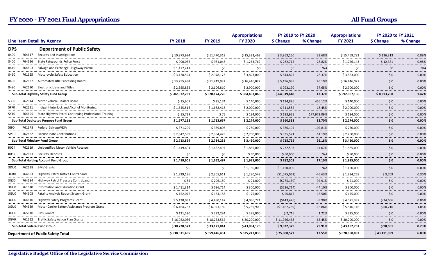|                                        |                                                                           |                                    |                           | <b>Appropriations</b>          | FY 2019 to FY 2020         |                               | <b>Appropriations</b>         | FY 2020 to FY 2021                               |                  |
|----------------------------------------|---------------------------------------------------------------------------|------------------------------------|---------------------------|--------------------------------|----------------------------|-------------------------------|-------------------------------|--------------------------------------------------|------------------|
|                                        | <b>Line Item Detail by Agency</b>                                         | <b>FY 2018</b>                     | <b>FY 2019</b>            | <b>FY 2020</b>                 | \$ Change                  | % Change                      | <b>FY 2021</b>                | \$ Change                                        | % Change         |
| <b>DPS</b>                             | <b>Department of Public Safety</b>                                        |                                    |                           |                                |                            |                               |                               |                                                  |                  |
| 8400<br>764617                         | Security and Investigations                                               | \$10,873,994                       | \$11,470,319              | \$15,333,469                   | \$3,863,150                | 33.68%                        | \$15,469,782                  | \$136,313                                        | 0.89%            |
| 8400<br>764626                         | State Fairgrounds Police Force                                            | \$990.056                          | \$981.048<br>------------ | \$1,263,762                    | \$282.715<br>------------  | 28.82%<br>----------          | \$1,276,143<br>.              | \$12.381                                         | 0.98%<br>.       |
| 764603<br>8410                         | Salvage and Exchange - Highway Patrol                                     | \$1,177,241                        | \$0<br>.                  | \$0                            | \$0                        | N/A<br>------------           | \$0                           | \$0                                              | N/A              |
| 8460<br>                               | 761625 Motorcycle Safety Education<br>----------------------------------- | \$3,128,524                        | \$2,978,173<br>           | \$3,823,000                    | \$844,827                  | 28.37%<br>.                   | \$3,823,000<br>.              | \$0                                              | 0.00%<br>.       |
| 8490<br>762627                         | Automated Title Processing Board                                          | \$13,255,498                       | \$11,249,932              | \$16,446,027                   | \$5,196,095                | 46.19%<br>.                   | \$16,446,027                  | \$0                                              | 0.00%            |
| 8490                                   | 762630 Electronic Liens and Titles                                        | \$2,355,855                        | \$2,106,810               | \$2,900,000                    | \$793,190                  | 37.65%                        | \$2,900,000                   | $\sf 50$                                         | 0.00%            |
|                                        | Sub-Total Highway Safety Fund Group                                       | \$502,072,231                      | \$520,174,220             | \$584,493,868                  | \$64,319,648               | 12.37%                        | \$592,807,136                 | \$8,313,268                                      | 1.42%            |
| 5390<br>762614                         | Motor Vehicle Dealers Board                                               | \$15,907                           | \$25,174                  | \$140,000                      | \$114,826                  | 456.12%                       | \$140,000                     | \$0                                              | 0.00%            |
| 5FF <sub>0</sub>                       | 762621 Indigent Interlock and Alcohol Monitoring                          | \$1,645,516                        | \$1,688,418               | \$2,000,000                    | \$311,582<br>.             | 18.45%                        | \$2,000,000                   | \$0                                              | 0.00%<br>.       |
| 5Y10                                   | 764695 State Highway Patrol Continuing Professional Training              | \$15,729<br>                       | \$75<br>                  | \$134,000<br>.                 | \$133,925<br>------------- | 177,973.09%                   | \$134,000<br>.                | \$0<br>.                                         | 0.00%<br>.       |
| Sub-Total Dedicated Purpose Fund Group |                                                                           | \$1,677,152                        | \$1,713,667               | \$2,274,000                    | \$560,333                  | 32.70%                        | \$2,274,000                   | $\boldsymbol{\mathsf{S}}\boldsymbol{\mathsf{0}}$ | 0.00%            |
| 5J90                                   | 761678 Federal Salvage/GSA<br>                                            | \$371,299                          | \$369,806                 | \$750,000                      | \$380,194                  | 102.81%<br>                   | \$750,000                     | \$0                                              | 0.00%            |
| 5V10                                   | 762682 License Plate Contributions                                        | \$2,342,599                        | \$2,364,429               | \$2,700,000                    | \$335,571                  | 14.19%                        | \$2,700,000                   | $\sf 50$                                         | 0.00%            |
| <b>Sub-Total Fiduciary Fund Group</b>  |                                                                           | \$2,713,899                        | \$2,734,235               | \$3,450,000                    | \$715,765                  | 26.18%                        | \$3,450,000                   | \$0                                              | 0.00%            |
| R024                                   | 762619 Unidentified Motor Vehicle Receipts                                | \$1,419,601                        | \$1,652,497               | \$1,885,000                    | \$232,503                  | 14.07%                        | \$1,885,000                   | \$0                                              | 0.00%            |
| R052                                   | 762623 Security Deposits                                                  | \$0<br>.                           | \$0                       | \$50,000                       | \$50.000                   | N/A                           | \$50.000                      | \$0                                              | 0.00%<br>.       |
|                                        | <b>Sub-Total Holding Account Fund Group</b>                               | \$1,419,601                        | \$1,652,497               | \$1,935,000                    | \$282,503                  | 17.10%                        | \$1,935,000                   | \$0                                              | 0.00%            |
| 3DU0                                   | 762628 BMV Grants                                                         | \$0                                | \$0                       | \$1,150,000                    | \$1,150,000                | N/A                           | \$1,150,000                   | \$0                                              | 0.00%            |
| 3GR0<br>764693                         | Highway Patrol Justice Contraband                                         | \$1,729,196                        | \$2,305,611               | \$1,230,549                    | (\$1,075,062)              | $-46.63%$                     | \$1,234,258                   | \$3,709                                          | 0.30%            |
| 3GS0<br>764694<br>--------             | Highway Patrol Treasury Contraband                                        | \$84                               | \$296,150                 | \$21,000                       | (\$275,150)                | $-92.91%$                     | \$21,000                      | $\sf 50$                                         | 0.00%            |
| 3GU0                                   | 761610 Information and Education Grant<br>                                | \$1,411,314                        | \$536,714                 | \$300,000                      | ( \$236, 714)              | $-44.10%$                     | \$300,000                     | \$0                                              | 0.00%            |
| 764608<br>3GU0                         | <b>Fatality Analysis Report System Grant</b>                              | \$152,076<br>.                     | \$154,183<br>             | \$175,000<br>                  | \$20,817<br>-------------  | 13.50%<br><b></b> .           | \$175,000<br>.                | \$0<br>--------------                            | 0.00%<br>        |
| 3GU0                                   | 764610 Highway Safety Programs Grant                                      | \$5,128,092                        | \$4,480,147               | \$4,036,721                    | (5443, 426)                | $-9.90%$                      | \$4,071,387                   | \$34,666                                         | 0.86%            |
| 764659<br>3GU0<br>                     | Motor Carrier Safety Assistance Program Grant                             | \$6,164,257<br>                    | \$6,923,189<br>           | \$5,755,900<br>--------------- | (\$1,167,289)<br>.         | $-16.86%$<br>---------------- | \$5,816,116<br>-------------- | \$60,216<br>                                     | 1.05%<br>        |
| 765610<br>3GU0                         | <b>EMS Grants</b>                                                         | \$121,520                          | \$222,284                 | \$225,000                      | \$2,716                    | 1.22%<br>.                    | \$225,000                     | \$0                                              | 0.00%<br>------- |
| 3GV0                                   | 761612 Traffic Safety Action Plan Grants                                  | \$16,022,036<br>------------------ | \$18,253,562<br>          | \$30,200,000                   | \$11,946,438               | 65.45%                        | \$30,200,000                  | \$0                                              | 0.00%<br>        |
|                                        | Sub-Total Federal Fund Group                                              | \$30,728,573                       | \$33,171,841              | \$43,094,170                   | \$9,922,329                | 29.91%                        | \$43,192,761                  | \$98,591                                         | 0.23%            |
|                                        | <b>Department of Public Safety Total</b>                                  | \$ 538,611,455                     | \$559,446,461             | \$635,247,038                  | \$75,800,577               | 13.55%                        | \$678,658,897                 | \$43,411,859                                     | 6.83%            |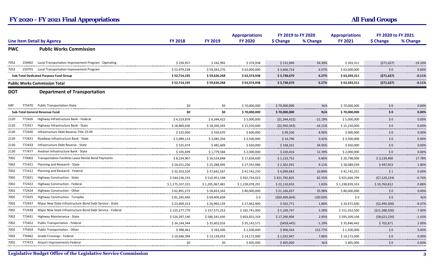|            |                                                          |                                                                                                                                                                                                                                                                                                                                                                                                                                                                                                                                                                                                                                                                                                                                                                                                                                                                                                                                                                                                                                                                                               |                           | <b>Appropriations</b>                  | FY 2019 to FY 2020                 |                   | <b>Appropriations</b>                              | FY 2020 to FY 2021       |                   |
|------------|----------------------------------------------------------|-----------------------------------------------------------------------------------------------------------------------------------------------------------------------------------------------------------------------------------------------------------------------------------------------------------------------------------------------------------------------------------------------------------------------------------------------------------------------------------------------------------------------------------------------------------------------------------------------------------------------------------------------------------------------------------------------------------------------------------------------------------------------------------------------------------------------------------------------------------------------------------------------------------------------------------------------------------------------------------------------------------------------------------------------------------------------------------------------|---------------------------|----------------------------------------|------------------------------------|-------------------|----------------------------------------------------|--------------------------|-------------------|
|            |                                                          | <b>FY 2018</b>                                                                                                                                                                                                                                                                                                                                                                                                                                                                                                                                                                                                                                                                                                                                                                                                                                                                                                                                                                                                                                                                                | <b>FY 2019</b>            | <b>FY 2020</b>                         | \$ Change                          | % Change          | <b>FY 2021</b>                                     | \$ Change                | % Change          |
| <b>PWC</b> | <b>Public Works Commission</b>                           |                                                                                                                                                                                                                                                                                                                                                                                                                                                                                                                                                                                                                                                                                                                                                                                                                                                                                                                                                                                                                                                                                               |                           |                                        |                                    |                   |                                                    |                          |                   |
|            |                                                          | \$234,957                                                                                                                                                                                                                                                                                                                                                                                                                                                                                                                                                                                                                                                                                                                                                                                                                                                                                                                                                                                                                                                                                     | \$242,992                 | \$374,938                              | \$131,946                          | 54.30%            | \$303,311                                          | (571, 627)               | $-19.10%$<br>     |
| 150701     | Local Transportation Improvement Program                 | \$52,479,238                                                                                                                                                                                                                                                                                                                                                                                                                                                                                                                                                                                                                                                                                                                                                                                                                                                                                                                                                                                                                                                                                  | \$59,393,276              | \$63,000,000                           | \$3,606,724                        | 6.07%             | \$ 63,000,000                                      | \$0                      | 0.00%<br>         |
|            |                                                          | \$52,714,195                                                                                                                                                                                                                                                                                                                                                                                                                                                                                                                                                                                                                                                                                                                                                                                                                                                                                                                                                                                                                                                                                  | \$59,636,268              | \$63,374,938                           | \$3,738,670                        | 6.27%             | \$63,303,311                                       | (571, 627)               | $-0.11%$          |
|            |                                                          | \$52,714,195                                                                                                                                                                                                                                                                                                                                                                                                                                                                                                                                                                                                                                                                                                                                                                                                                                                                                                                                                                                                                                                                                  | \$59,636,268              | \$63,374,938                           | \$3,738,670                        | 6.27%             | \$63,303,311                                       | (571, 627)               | $-0.11%$          |
| <b>DOT</b> | <b>Department of Transportation</b>                      |                                                                                                                                                                                                                                                                                                                                                                                                                                                                                                                                                                                                                                                                                                                                                                                                                                                                                                                                                                                                                                                                                               |                           |                                        |                                    |                   |                                                    |                          |                   |
|            |                                                          | \$0                                                                                                                                                                                                                                                                                                                                                                                                                                                                                                                                                                                                                                                                                                                                                                                                                                                                                                                                                                                                                                                                                           | \$0                       | \$70.000.000                           | \$70,000,000                       | N/A               | \$70,000,000                                       | 50                       | 0.00%             |
|            |                                                          | \$0                                                                                                                                                                                                                                                                                                                                                                                                                                                                                                                                                                                                                                                                                                                                                                                                                                                                                                                                                                                                                                                                                           | \$0                       | \$70,000,000                           | \$70,000,000                       | N/A               | \$70,000,000                                       | \$0                      | 0.00%             |
|            |                                                          | \$4,519,878                                                                                                                                                                                                                                                                                                                                                                                                                                                                                                                                                                                                                                                                                                                                                                                                                                                                                                                                                                                                                                                                                   | \$6,344,422               | \$5,000,000                            | (51, 344, 422)                     | $-21.19%$         | \$5,000,000                                        | \$0                      | 0.00%             |
|            |                                                          | \$18,869,636                                                                                                                                                                                                                                                                                                                                                                                                                                                                                                                                                                                                                                                                                                                                                                                                                                                                                                                                                                                                                                                                                  | \$18,200,343              | \$15,250,000                           | (\$2,950,343)                      | $-16.21%$         | \$15,250,000                                       | 50                       | 0.00%             |
| 772430     | Infrastructure Debt Reserve Title 23-49                  | \$525.000                                                                                                                                                                                                                                                                                                                                                                                                                                                                                                                                                                                                                                                                                                                                                                                                                                                                                                                                                                                                                                                                                     | \$550.670                 | \$600,000                              | \$49,330                           | 8.96%             | \$600.000                                          | 50                       | 0.00%             |
|            |                                                          | \$3,089,114                                                                                                                                                                                                                                                                                                                                                                                                                                                                                                                                                                                                                                                                                                                                                                                                                                                                                                                                                                                                                                                                                   | \$3,485,204               | \$3,500,000                            | \$14,796                           | 0.42%             | \$3,500,000                                        | $\frac{1}{2}$            | 0.00%             |
|            |                                                          | \$525,474                                                                                                                                                                                                                                                                                                                                                                                                                                                                                                                                                                                                                                                                                                                                                                                                                                                                                                                                                                                                                                                                                     | \$481,669                 | \$650,000                              | \$168,331                          | 34.95%            | \$650,000                                          | \$0                      | 0.00%             |
|            |                                                          | \$105,699                                                                                                                                                                                                                                                                                                                                                                                                                                                                                                                                                                                                                                                                                                                                                                                                                                                                                                                                                                                                                                                                                     | \$1,779,584               | \$2,000,000                            | \$220,416                          | 12.39%            | \$2,000,000                                        | \$0                      | 0.00%<br>-------- |
|            |                                                          | \$8,154,967                                                                                                                                                                                                                                                                                                                                                                                                                                                                                                                                                                                                                                                                                                                                                                                                                                                                                                                                                                                                                                                                                   | \$16,524,848              | \$17,658,600                           | \$1,133,752                        | 6.86%             | \$20,798,000                                       | \$3,139,400              | 17.78%<br>.       |
|            |                                                          | \$24,011,256                                                                                                                                                                                                                                                                                                                                                                                                                                                                                                                                                                                                                                                                                                                                                                                                                                                                                                                                                                                                                                                                                  | \$25,288,495              | \$27,591,086                           | \$2,302,591                        | 9.11%             | \$28,089,039                                       | \$497,953                | 1.80%             |
|            |                                                          | \$32,353,524                                                                                                                                                                                                                                                                                                                                                                                                                                                                                                                                                                                                                                                                                                                                                                                                                                                                                                                                                                                                                                                                                  | \$37,642,567<br>.         | \$41,742,250                           | \$4,099,683                        | 10.89%            | \$41,742,251                                       | \$1                      | 0.00%<br>.        |
|            |                                                          | \$544,236,153                                                                                                                                                                                                                                                                                                                                                                                                                                                                                                                                                                                                                                                                                                                                                                                                                                                                                                                                                                                                                                                                                 | \$510,951,198             | \$932,734,023                          | \$421,782,825                      | 82.55%            | \$925,604,799                                      | (57, 129, 224)           | $-0.76%$          |
|            |                                                          | \$ 1,175,107,315                                                                                                                                                                                                                                                                                                                                                                                                                                                                                                                                                                                                                                                                                                                                                                                                                                                                                                                                                                                                                                                                              | \$1,205,967,481           | \$ 1,228,078,291                       | \$22,110,810                       | 1.83%             | \$1,238,839,103                                    | \$10,760,812             | 0.88%             |
|            |                                                          | \$62,891,273                                                                                                                                                                                                                                                                                                                                                                                                                                                                                                                                                                                                                                                                                                                                                                                                                                                                                                                                                                                                                                                                                  | \$58,833,343<br>--------- | \$80,000,000                           | \$21,166,657                       | 35.98%<br><b></b> | \$80,000,000                                       | \$0                      | 0.00%             |
|            |                                                          | \$81,245,440                                                                                                                                                                                                                                                                                                                                                                                                                                                                                                                                                                                                                                                                                                                                                                                                                                                                                                                                                                                                                                                                                  | \$69,409,604              | \$0                                    | ( \$69,409,604)                    | $-100.00%$        | \$0                                                | \$0                      | N/A               |
| 772437     | Maior New State Infrastructure Bond Debt Service - State | \$23,409,313                                                                                                                                                                                                                                                                                                                                                                                                                                                                                                                                                                                                                                                                                                                                                                                                                                                                                                                                                                                                                                                                                  | \$26,960,129              | \$27,462,900                           | \$502,771                          | 1.86%             | \$24,972,600                                       | ( \$2,490,300)           | $-9.07%$          |
|            |                                                          | \$125,277,779                                                                                                                                                                                                                                                                                                                                                                                                                                                                                                                                                                                                                                                                                                                                                                                                                                                                                                                                                                                                                                                                                 | \$157,571,253             | \$162,741,000                          | \$5,169,747                        | 3.28%             | \$151,352,500                                      | (\$11,388,500)           | $-7.00%$          |
|            |                                                          | \$524,287,140                                                                                                                                                                                                                                                                                                                                                                                                                                                                                                                                                                                                                                                                                                                                                                                                                                                                                                                                                                                                                                                                                 | \$586,541,430             | \$603,832,334                          | \$17,290,904                       | 2.95%             | \$595,209,104                                      | ( \$8,623,230)           | $-1.43%$          |
|            |                                                          | \$34,144,344                                                                                                                                                                                                                                                                                                                                                                                                                                                                                                                                                                                                                                                                                                                                                                                                                                                                                                                                                                                                                                                                                  | \$35,602,016              | \$35,143,571                           | (5458, 445)                        | $-1.29%$          | \$35,846,442                                       | \$702,871                | 2.00%<br>-------- |
|            |                                                          | \$998,462                                                                                                                                                                                                                                                                                                                                                                                                                                                                                                                                                                                                                                                                                                                                                                                                                                                                                                                                                                                                                                                                                     | \$593,436                 | \$1,500,000                            | \$906,564                          | 152.77%           | \$1,500,000                                        | \$0                      | 0.00%<br>.        |
|            |                                                          | \$10,646,394                                                                                                                                                                                                                                                                                                                                                                                                                                                                                                                                                                                                                                                                                                                                                                                                                                                                                                                                                                                                                                                                                  | \$13,139,053              | \$14,172,000                           | \$1,032,947                        | 7.86%             | \$14,172,000                                       | \$0                      | 0.00%             |
|            |                                                          | \$0                                                                                                                                                                                                                                                                                                                                                                                                                                                                                                                                                                                                                                                                                                                                                                                                                                                                                                                                                                                                                                                                                           | \$0                       | \$405,000                              | \$405,000                          | N/A               | \$405,000                                          | \$0                      | 0.00%             |
|            |                                                          | <b>Line Item Detail by Agency</b><br>150402 Local Transportation Improvement Program - Operating<br>Sub-Total Dedicated Purpose Fund Group<br><b>Public Works Commission Total</b><br>775470 Public Transportation-State<br>Sub-Total General Revenue Fund<br>772426 Highway Infrastructure Bank - Federal<br>772427 Highway Infrastructure Bank - State<br>772431 Roadway Infrastructure Bank - State<br>772433 Infrastructure Debt Reserve - State<br>777477 Aviation Infrastructure Bank - State<br>770003 Transportation Facilities Lease Rental Bond Payments<br>771411 Planning and Research - State<br>771412 Planning and Research - Federal<br>772421 Highway Construction - State<br>772422 Highway Construction - Federal<br>772424 Highway Construction - Other<br>772425 Highway Construction - Turnpike<br>772438 Major New State Infrastructure Bond Debt Service - Federal<br>773431 Highway Maintenance - State<br>775452 Public Transportation - Federal<br>775454 Public Transportation - Other<br>776462 Grade Crossings - Federal<br>777472 Airport Improvements-Federal | .<br><br>.                | ----------<br>---------------<br>.<br> | ---------------<br>--------------- | ------------      | ---------------<br>.<br>.<br>.<br>.<br>----------- | .<br>.<br>.<br>.<br><br> | <br>.             |